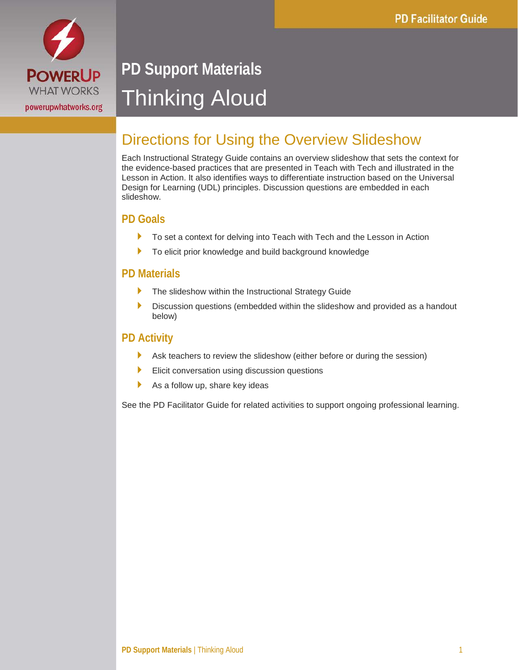

# **PD Support Materials** Thinking Aloud

### Directions for Using the Overview Slideshow

Each Instructional Strategy Guide contains an overview slideshow that sets the context for the evidence-based practices that are presented in Teach with Tech and illustrated in the Lesson in Action. It also identifies ways to differentiate instruction based on the Universal Design for Learning (UDL) principles. Discussion questions are embedded in each slideshow.

#### **PD Goals**

- To set a context for delving into Teach with Tech and the Lesson in Action
- ▶ To elicit prior knowledge and build background knowledge

#### **PD Materials**

- ▶ The slideshow within the Instructional Strategy Guide
- Discussion questions (embedded within the slideshow and provided as a handout below)

#### **PD Activity**

- Ask teachers to review the slideshow (either before or during the session)
- Elicit conversation using discussion questions
- $\blacktriangleright$  As a follow up, share key ideas

See the PD Facilitator Guide for related activities to support ongoing professional learning.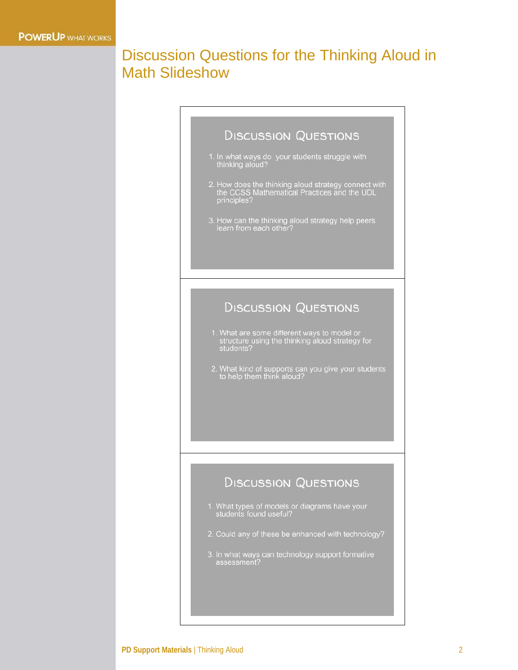### Discussion Questions for the Thinking Aloud in Math Slideshow

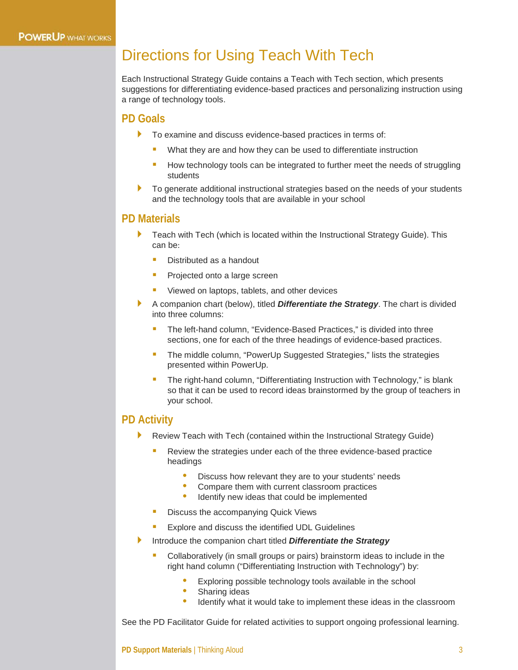### Directions for Using Teach With Tech

Each Instructional Strategy Guide contains a Teach with Tech section, which presents suggestions for differentiating evidence-based practices and personalizing instruction using a range of technology tools.

#### **PD Goals**

- To examine and discuss evidence-based practices in terms of:
	- What they are and how they can be used to differentiate instruction
	- How technology tools can be integrated to further meet the needs of struggling students
- To generate additional instructional strategies based on the needs of your students and the technology tools that are available in your school

#### **PD Materials**

- Teach with Tech (which is located within the Instructional Strategy Guide). This can be:
	- Distributed as a handout
	- Projected onto a large screen
	- Viewed on laptops, tablets, and other devices
- A companion chart (below), titled *Differentiate the Strategy*. The chart is divided into three columns:
	- The left-hand column, "Evidence-Based Practices," is divided into three sections, one for each of the three headings of evidence-based practices.
	- The middle column, "PowerUp Suggested Strategies," lists the strategies presented within PowerUp.
	- The right-hand column, "Differentiating Instruction with Technology," is blank so that it can be used to record ideas brainstormed by the group of teachers in your school.

#### **PD Activity**

- Review Teach with Tech (contained within the Instructional Strategy Guide)
	- Review the strategies under each of the three evidence-based practice headings
		- Discuss how relevant they are to your students' needs<br>• Compare them with current classroom practices
		- Compare them with current classroom practices
		- Identify new ideas that could be implemented
	- Discuss the accompanying Quick Views
	- Explore and discuss the identified UDL Guidelines
- Introduce the companion chart titled *Differentiate the Strategy*
	- Collaboratively (in small groups or pairs) brainstorm ideas to include in the right hand column ("Differentiating Instruction with Technology") by:
		- Exploring possible technology tools available in the school<br>• Sharing ideas
		- Sharing ideas
		- Identify what it would take to implement these ideas in the classroom

See the PD Facilitator Guide for related activities to support ongoing professional learning.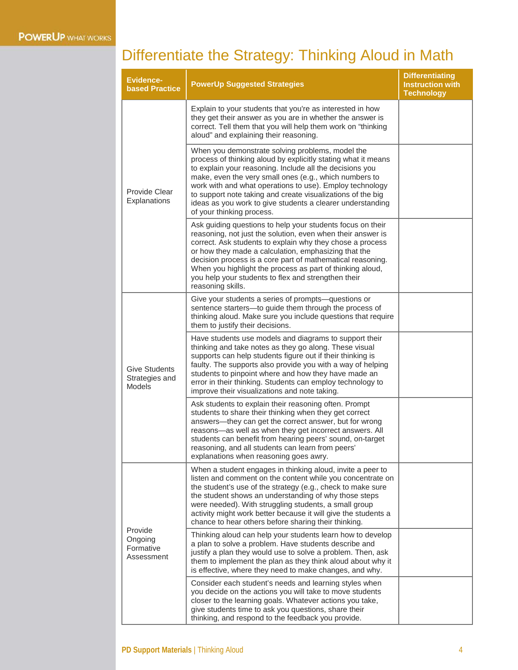## Differentiate the Strategy: Thinking Aloud in Math

| <b>Evidence-</b><br><b>based Practice</b>               | <b>PowerUp Suggested Strategies</b>                                                                                                                                                                                                                                                                                                                                                                                                                           | <b>Differentiating</b><br><b>Instruction with</b><br><b>Technology</b> |
|---------------------------------------------------------|---------------------------------------------------------------------------------------------------------------------------------------------------------------------------------------------------------------------------------------------------------------------------------------------------------------------------------------------------------------------------------------------------------------------------------------------------------------|------------------------------------------------------------------------|
| Provide Clear<br>Explanations                           | Explain to your students that you're as interested in how<br>they get their answer as you are in whether the answer is<br>correct. Tell them that you will help them work on "thinking<br>aloud" and explaining their reasoning.                                                                                                                                                                                                                              |                                                                        |
|                                                         | When you demonstrate solving problems, model the<br>process of thinking aloud by explicitly stating what it means<br>to explain your reasoning. Include all the decisions you<br>make, even the very small ones (e.g., which numbers to<br>work with and what operations to use). Employ technology<br>to support note taking and create visualizations of the big<br>ideas as you work to give students a clearer understanding<br>of your thinking process. |                                                                        |
|                                                         | Ask guiding questions to help your students focus on their<br>reasoning, not just the solution, even when their answer is<br>correct. Ask students to explain why they chose a process<br>or how they made a calculation, emphasizing that the<br>decision process is a core part of mathematical reasoning.<br>When you highlight the process as part of thinking aloud,<br>you help your students to flex and strengthen their<br>reasoning skills.         |                                                                        |
| <b>Give Students</b><br>Strategies and<br><b>Models</b> | Give your students a series of prompts-questions or<br>sentence starters-to guide them through the process of<br>thinking aloud. Make sure you include questions that require<br>them to justify their decisions.                                                                                                                                                                                                                                             |                                                                        |
|                                                         | Have students use models and diagrams to support their<br>thinking and take notes as they go along. These visual<br>supports can help students figure out if their thinking is<br>faulty. The supports also provide you with a way of helping<br>students to pinpoint where and how they have made an<br>error in their thinking. Students can employ technology to<br>improve their visualizations and note taking.                                          |                                                                        |
|                                                         | Ask students to explain their reasoning often. Prompt<br>students to share their thinking when they get correct<br>answers—they can get the correct answer, but for wrong<br>reasons-as well as when they get incorrect answers. All<br>students can benefit from hearing peers' sound, on-target<br>reasoning, and all students can learn from peers'<br>explanations when reasoning goes awry.                                                              |                                                                        |
| Provide<br>Ongoing<br>Formative<br>Assessment           | When a student engages in thinking aloud, invite a peer to<br>listen and comment on the content while you concentrate on<br>the student's use of the strategy (e.g., check to make sure<br>the student shows an understanding of why those steps<br>were needed). With struggling students, a small group<br>activity might work better because it will give the students a<br>chance to hear others before sharing their thinking.                           |                                                                        |
|                                                         | Thinking aloud can help your students learn how to develop<br>a plan to solve a problem. Have students describe and<br>justify a plan they would use to solve a problem. Then, ask<br>them to implement the plan as they think aloud about why it<br>is effective, where they need to make changes, and why.                                                                                                                                                  |                                                                        |
|                                                         | Consider each student's needs and learning styles when<br>you decide on the actions you will take to move students<br>closer to the learning goals. Whatever actions you take,<br>give students time to ask you questions, share their<br>thinking, and respond to the feedback you provide.                                                                                                                                                                  |                                                                        |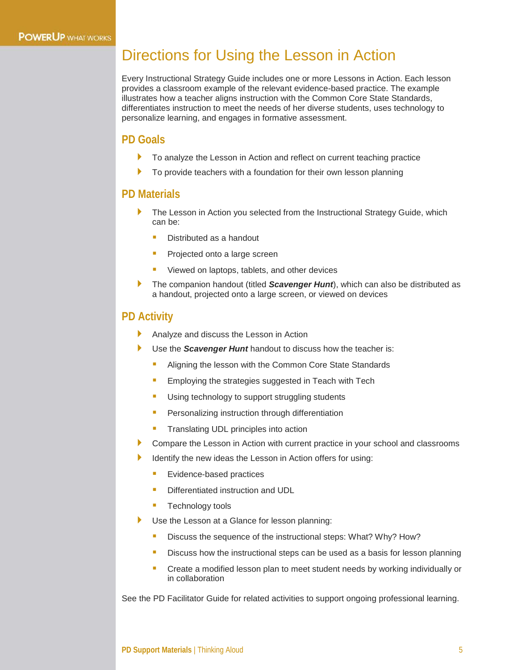### Directions for Using the Lesson in Action

Every Instructional Strategy Guide includes one or more Lessons in Action. Each lesson provides a classroom example of the relevant evidence-based practice. The example illustrates how a teacher aligns instruction with the Common Core State Standards, differentiates instruction to meet the needs of her diverse students, uses technology to personalize learning, and engages in formative assessment.

#### **PD Goals**

- To analyze the Lesson in Action and reflect on current teaching practice
- To provide teachers with a foundation for their own lesson planning

#### **PD Materials**

- The Lesson in Action you selected from the Instructional Strategy Guide, which can be:
	- Distributed as a handout
	- **Projected onto a large screen**
	- Viewed on laptops, tablets, and other devices
- The companion handout (titled *Scavenger Hunt*), which can also be distributed as a handout, projected onto a large screen, or viewed on devices

#### **PD Activity**

- Analyze and discuss the Lesson in Action
- Use the *Scavenger Hunt* handout to discuss how the teacher is:
	- Aligning the lesson with the Common Core State Standards
	- **Employing the strategies suggested in Teach with Tech**
	- **Using technology to support struggling students**
	- **Personalizing instruction through differentiation**
	- **Translating UDL principles into action**
- Compare the Lesson in Action with current practice in your school and classrooms
- Identify the new ideas the Lesson in Action offers for using:
	- Evidence-based practices
	- Differentiated instruction and UDL
	- **Technology tools**
- Use the Lesson at a Glance for lesson planning:
	- Discuss the sequence of the instructional steps: What? Why? How?
	- Discuss how the instructional steps can be used as a basis for lesson planning
	- **E** Create a modified lesson plan to meet student needs by working individually or in collaboration

See the PD Facilitator Guide for related activities to support ongoing professional learning.